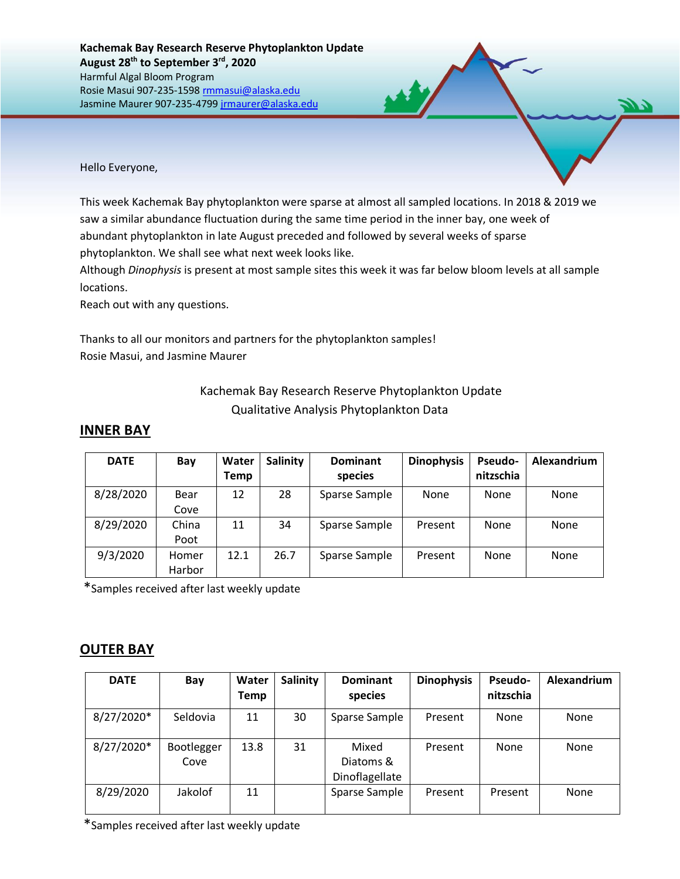Hello Everyone,

This week Kachemak Bay phytoplankton were sparse at almost all sampled locations. In 2018 & 2019 we saw a similar abundance fluctuation during the same time period in the inner bay, one week of abundant phytoplankton in late August preceded and followed by several weeks of sparse phytoplankton. We shall see what next week looks like.

Although *Dinophysis* is present at most sample sites this week it was far below bloom levels at all sample locations.

Reach out with any questions.

Thanks to all our monitors and partners for the phytoplankton samples! Rosie Masui, and Jasmine Maurer

| Kachemak Bay Research Reserve Phytoplankton Update |
|----------------------------------------------------|
| Qualitative Analysis Phytoplankton Data            |

## **INNER BAY**

| <b>DATE</b> | Bay    | Water<br>Temp | <b>Salinity</b> | <b>Dominant</b><br>species | <b>Dinophysis</b> | <b>Pseudo-</b><br>nitzschia | Alexandrium |
|-------------|--------|---------------|-----------------|----------------------------|-------------------|-----------------------------|-------------|
| 8/28/2020   | Bear   | 12            | 28              | Sparse Sample              | None              | <b>None</b>                 | None        |
|             | Cove   |               |                 |                            |                   |                             |             |
| 8/29/2020   | China  | 11            | 34              | Sparse Sample              | Present           | None                        | None        |
|             | Poot   |               |                 |                            |                   |                             |             |
| 9/3/2020    | Homer  | 12.1          | 26.7            | Sparse Sample              | Present           | None                        | None        |
|             | Harbor |               |                 |                            |                   |                             |             |

\*Samples received after last weekly update

## **OUTER BAY**

| <b>DATE</b> | Bay                | Water<br>Temp | Salinity | <b>Dominant</b><br>species           | <b>Dinophysis</b> | <b>Pseudo-</b><br>nitzschia | <b>Alexandrium</b> |
|-------------|--------------------|---------------|----------|--------------------------------------|-------------------|-----------------------------|--------------------|
| 8/27/2020*  | Seldovia           | 11            | 30       | Sparse Sample                        | Present           | None                        | None               |
| 8/27/2020*  | Bootlegger<br>Cove | 13.8          | 31       | Mixed<br>Diatoms &<br>Dinoflagellate | Present           | None                        | None               |
| 8/29/2020   | Jakolof            | 11            |          | Sparse Sample                        | Present           | Present                     | None               |

\*Samples received after last weekly update